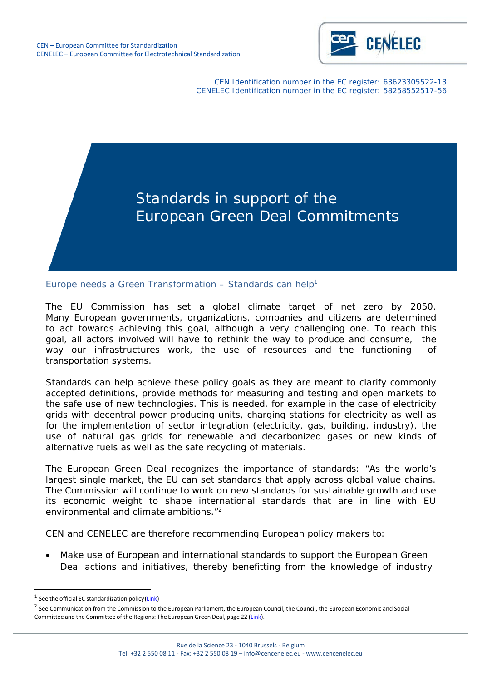

CEN Identification number in the EC register: 63623305522-13 CENELEC Identification number in the EC register: 58258552517-56



Europe needs a Green Transformation  $-$  Standards can help<sup>1</sup>

The EU Commission has set a global climate target of net zero by 2050. Many European governments, organizations, companies and citizens are determined to act towards achieving this goal, although a very challenging one. To reach this goal, all actors involved will have to rethink the way to produce and consume, the way our infrastructures work, the use of resources and the functioning of transportation systems.

Standards can help achieve these policy goals as they are meant to clarify commonly accepted definitions, provide methods for measuring and testing and open markets to the safe use of new technologies. This is needed, for example in the case of electricity grids with decentral power producing units, charging stations for electricity as well as for the implementation of sector integration (electricity, gas, building, industry), the use of natural gas grids for renewable and decarbonized gases or new kinds of alternative fuels as well as the safe recycling of materials.

The European Green Deal recognizes the importance of standards: "*As the world's largest single market, the EU can set standards that apply across global value chains. The Commission will continue to work on new standards for sustainable growth and use its economic weight to shape international standards that are in line with EU environmental and climate ambitions*.["2](#page-0-1)

CEN and CENELEC are therefore recommending European policy makers to:

• Make use of European and international standards to support the European Green Deal actions and initiatives, thereby benefitting from the knowledge of industry

<span id="page-0-0"></span> $1$  See the official EC standardization policy (Link)

<span id="page-0-1"></span><sup>&</sup>lt;sup>2</sup> See Communication from the Commission to the European Parliament, the European Council, the Council, the European Economic and Social Committee and the Committee of the Regions: The European Green Deal, page 22 (Link).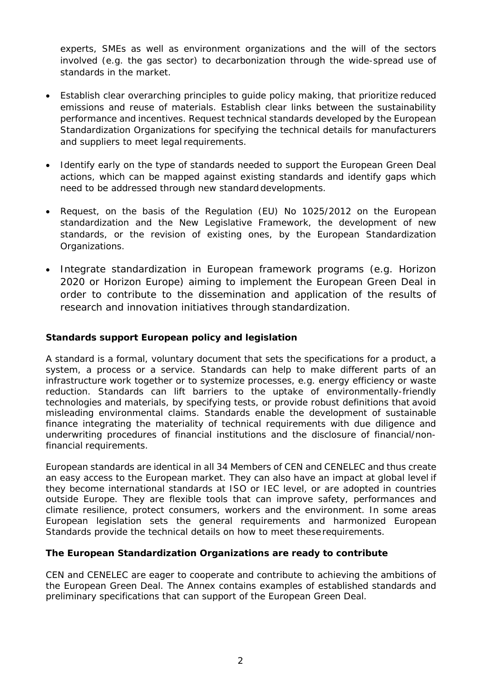experts, SMEs as well as environment organizations and the will of the sectors involved (e.g. the gas sector) to decarbonization through the wide-spread use of standards in the market.

- Establish clear overarching principles to guide policy making, that prioritize reduced emissions and reuse of materials. Establish clear links between the sustainability performance and incentives. Request technical standards developed by the European Standardization Organizations for specifying the technical details for manufacturers and suppliers to meet legal requirements.
- Identify early on the type of standards needed to support the European Green Deal actions, which can be mapped against existing standards and identify gaps which need to be addressed through new standard developments.
- Request, on the basis of the Regulation (EU) No 1025/2012 on the European standardization and the New Legislative Framework, the development of new standards, or the revision of existing ones, by the European Standardization Organizations.
- Integrate standardization in European framework programs (e.g. Horizon 2020 or Horizon Europe) aiming to implement the European Green Deal in order to contribute to the dissemination and application of the results of research and innovation initiatives through standardization.

### *Standards support European policy and legislation*

A standard is a formal, voluntary document that sets the specifications for a product, a system, a process or a service. Standards can help to make different parts of an infrastructure work together or to systemize processes, e.g. energy efficiency or waste reduction. Standards can lift barriers to the uptake of environmentally-friendly technologies and materials, by specifying tests, or provide robust definitions that avoid misleading environmental claims. Standards enable the development of sustainable finance integrating the materiality of technical requirements with due diligence and underwriting procedures of financial institutions and the disclosure of financial/nonfinancial requirements.

European standards are identical in all 34 Members of CEN and CENELEC and thus create an easy access to the European market. They can also have an impact at global level if they become international standards at ISO or IEC level, or are adopted in countries outside Europe. They are flexible tools that can improve safety, performances and climate resilience, protect consumers, workers and the environment. In some areas European legislation sets the general requirements and harmonized European Standards provide the technical details on how to meet theserequirements.

#### *The European Standardization Organizations are ready to contribute*

CEN and CENELEC are eager to cooperate and contribute to achieving the ambitions of the European Green Deal. The Annex contains examples of established standards and preliminary specifications that can support of the European Green Deal.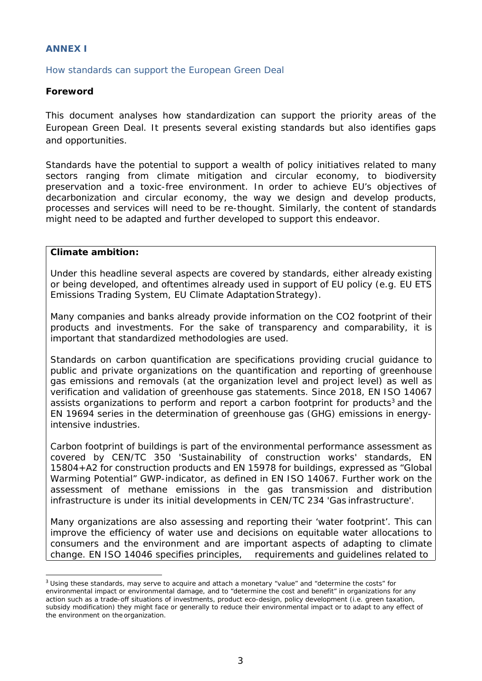#### **ANNEX I**

How standards can support the European Green Deal

#### **Foreword**

This document analyses how standardization can support the priority areas of the European Green Deal. It presents several existing standards but also identifies gaps and opportunities.

Standards have the potential to support a wealth of policy initiatives related to many sectors ranging from climate mitigation and circular economy, to biodiversity preservation and a toxic-free environment. In order to achieve EU's objectives of decarbonization and circular economy, the way we design and develop products, processes and services will need to be re-thought. Similarly, the content of standards might need to be adapted and further developed to support this endeavor.

#### **Climate ambition:**

Under this headline several aspects are covered by standards, either already existing or being developed, and oftentimes already used in support of EU policy (e.g. EU ETS Emissions Trading System, EU Climate AdaptationStrategy).

Many companies and banks already provide information on the CO2 footprint of their products and investments. For the sake of transparency and comparability, it is important that standardized methodologies are used.

Standards on carbon quantification are specifications providing crucial guidance to public and private organizations on the quantification and reporting of greenhouse gas emissions and removals (at the organization level and project level) as well as verification and validation of greenhouse gas statements. Since 2018, EN ISO 14067 assists organizations to perform and report a carbon footprint for products<sup>3</sup> and the EN 19694 series in the determination of greenhouse gas (GHG) emissions in energyintensive industries.

Carbon footprint of buildings is part of the environmental performance assessment as covered by CEN/TC 350 'Sustainability of construction works' standards, EN 15804+A2 for construction products and EN 15978 for buildings, expressed as "Global Warming Potential" GWP-indicator, as defined in EN ISO 14067. Further work on the assessment of methane emissions in the gas transmission and distribution infrastructure is under its initial developments in CEN/TC 234 'Gas infrastructure'.

Many organizations are also assessing and reporting their 'water footprint'. This can improve the efficiency of water use and decisions on equitable water allocations to consumers and the environment and are important aspects of adapting to climate change. EN ISO 14046 specifies principles, requirements and guidelines related to

<span id="page-2-0"></span><sup>&</sup>lt;sup>3</sup> Using these standards, may serve to acquire and attach a monetary "value" and "determine the costs" for environmental impact or environmental damage, and to "determine the cost and benefit" in organizations for any action such as a trade-off situations of investments, product eco-design, policy development (i.e. green taxation, subsidy modification) they might face or generally to reduce their environmental impact or to adapt to any effect of the environment on the organization.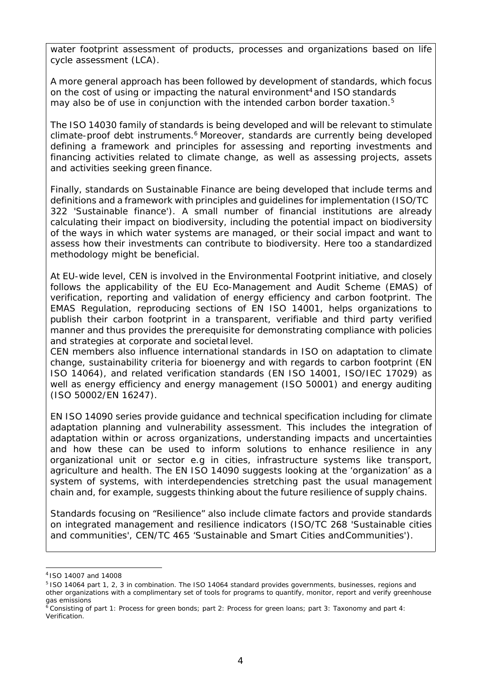water footprint assessment of products, processes and organizations based on life cycle assessment (LCA).

A more general approach has been followed by development of standards, which focus on the cost of using or impacting the natural environment<sup>4</sup> and ISO standards may also be of use in conjunction with the intended carbon border taxation.<sup>5</sup>

The ISO 14030 family of standards is being developed and will be relevant to stimulate climate-proof debt instruments.<sup>6</sup> Moreover, standards are currently being developed defining a framework and principles for assessing and reporting investments and financing activities related to climate change, as well as assessing projects, assets and activities seeking green finance.

Finally, standards on Sustainable Finance are being developed that include terms and definitions and a framework with principles and guidelines for implementation (ISO/TC 322 'Sustainable finance'). A small number of financial institutions are already calculating their impact on biodiversity, including the potential impact on biodiversity of the ways in which water systems are managed, or their social impact and want to assess how their investments can contribute to biodiversity. Here too a standardized methodology might be beneficial.

At EU-wide level, CEN is involved in the Environmental Footprint initiative, and closely follows the applicability of the EU Eco-Management and Audit Scheme (EMAS) of verification, reporting and validation of energy efficiency and carbon footprint. The EMAS Regulation, reproducing sections of EN ISO 14001, helps organizations to publish their carbon footprint in a transparent, verifiable and third party verified manner and thus provides the prerequisite for demonstrating compliance with policies and strategies at corporate and societal level.

CEN members also influence international standards in ISO on adaptation to climate change, sustainability criteria for bioenergy and with regards to carbon footprint (EN ISO 14064), and related verification standards (EN ISO 14001, ISO/IEC 17029) as well as energy efficiency and energy management (ISO 50001) and energy auditing (ISO 50002/EN 16247).

EN ISO 14090 series provide guidance and technical specification including for climate adaptation planning and vulnerability assessment. This includes the integration of adaptation within or across organizations, understanding impacts and uncertainties and how these can be used to inform solutions to enhance resilience in any organizational unit or sector e.g in cities, infrastructure systems like transport, agriculture and health. The EN ISO 14090 suggests looking at the 'organization' as a system of systems, with interdependencies stretching past the usual management chain and, for example, suggests thinking about the future resilience of supply chains.

Standards focusing on "Resilience" also include climate factors and provide standards on integrated management and resilience indicators (ISO/TC 268 'Sustainable cities and communities', CEN/TC 465 'Sustainable and Smart Cities andCommunities').

<span id="page-3-1"></span><span id="page-3-0"></span><sup>4</sup>ISO 14007 and 14008

<sup>5</sup> ISO 14064 part 1, 2, 3 in combination. The ISO 14064 standard provides governments, businesses, regions and other organizations with a complimentary set of tools for programs to quantify, monitor, report and verify greenhouse gas emissions

<span id="page-3-2"></span> $^6$  Consisting of part 1: Process for green bonds; part 2: Process for green loans; part 3: Taxonomy and part 4: Verification.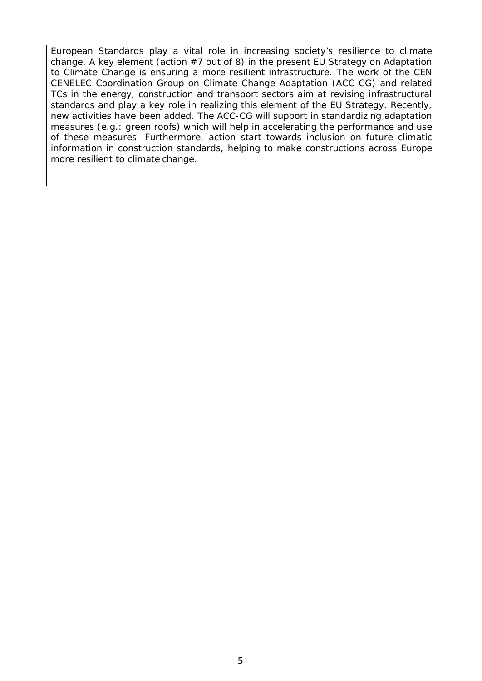European Standards play a vital role in increasing society's resilience to climate change. A key element (action  $#7$  out of 8) in the present EU Strategy on Adaptation to Climate Change is ensuring a more resilient infrastructure. The work of the CEN CENELEC Coordination Group on Climate Change Adaptation (ACC CG) and related TCs in the energy, construction and transport sectors aim at revising infrastructural standards and play a key role in realizing this element of the EU Strategy. Recently, new activities have been added. The ACC-CG will support in standardizing adaptation measures (e.g.: green roofs) which will help in accelerating the performance and use of these measures. Furthermore, action start towards inclusion on future climatic information in construction standards, helping to make constructions across Europe more resilient to climate change.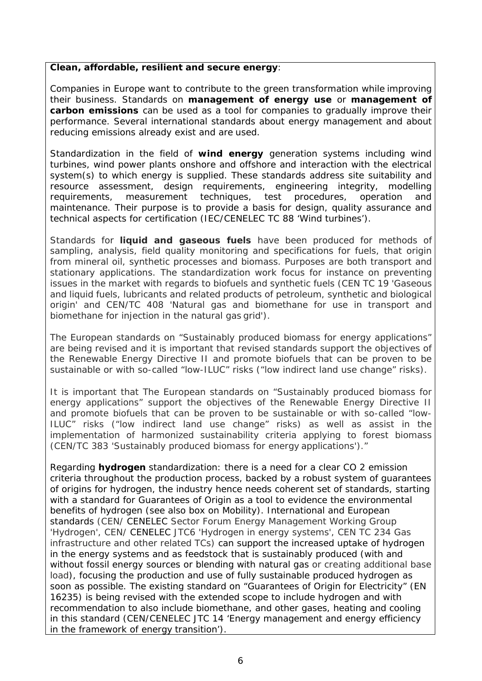#### **Clean, affordable, resilient and secure energy**:

Companies in Europe want to contribute to the green transformation while improving their business. Standards on **management of energy use** or **management of carbon emissions** can be used as a tool for companies to gradually improve their performance. Several international standards about energy management and about reducing emissions already exist and are used.

Standardization in the field of **wind energy** generation systems including wind turbines, wind power plants onshore and offshore and interaction with the electrical system(s) to which energy is supplied. These standards address site suitability and resource assessment, design requirements, engineering integrity, modelling requirements, measurement techniques, test procedures, operation and maintenance. Their purpose is to provide a basis for design, quality assurance and technical aspects for certification (IEC/CENELEC TC 88 'Wind turbines').

Standards for **liquid and gaseous fuels** have been produced for methods of sampling, analysis, field quality monitoring and specifications for fuels, that origin from mineral oil, synthetic processes and biomass. Purposes are both transport and stationary applications. The standardization work focus for instance on preventing issues in the market with regards to biofuels and synthetic fuels (CEN TC 19 'Gaseous and liquid fuels, lubricants and related products of petroleum, synthetic and biological origin' and CEN/TC 408 'Natural gas and biomethane for use in transport and biomethane for injection in the natural gas grid').

The European standards on "Sustainably produced biomass for energy applications" are being revised and it is important that revised standards support the objectives of the Renewable Energy Directive II and promote biofuels that can be proven to be sustainable or with so-called "low-ILUC" risks ("low indirect land use change" risks).

It is important that The European standards on "Sustainably produced biomass for energy applications" support the objectives of the Renewable Energy Directive II and promote biofuels that can be proven to be sustainable or with so-called "low-ILUC" risks ("low indirect land use change" risks) as well as assist in the implementation of harmonized sustainability criteria applying to forest biomass (CEN/TC 383 'Sustainably produced biomass for energy applications')."

Regarding **hydrogen** standardization: there is a need for a clear CO 2 emission criteria throughout the production process, backed by a robust system of guarantees of origins for hydrogen, the industry hence needs coherent set of standards, starting with a standard for Guarantees of Origin as a tool to evidence the environmental benefits of hydrogen (see also box on Mobility). International and European standards (CEN/ CENELEC Sector Forum Energy Management Working Group 'Hydrogen', CEN/ CENELEC JTC6 'Hydrogen in energy systems', CEN TC 234 Gas infrastructure and other related TCs) can support the increased uptake of hydrogen in the energy systems and as feedstock that is sustainably produced (with and without fossil energy sources or blending with natural gas or creating additional base load), focusing the production and use of fully sustainable produced hydrogen as soon as possible. The existing standard on "Guarantees of Origin for Electricity" (EN 16235) is being revised with the extended scope to include hydrogen and with recommendation to also include biomethane, and other gases, heating and cooling in this standard (CEN/CENELEC JTC 14 'Energy management and energy efficiency in the framework of energy transition').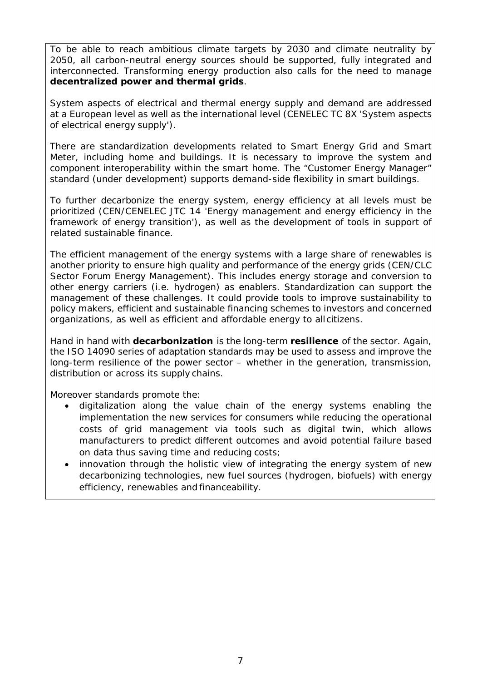To be able to reach ambitious climate targets by 2030 and climate neutrality by 2050, all carbon-neutral energy sources should be supported, fully integrated and interconnected. Transforming energy production also calls for the need to manage **decentralized power and thermal grids**.

System aspects of electrical and thermal energy supply and demand are addressed at a European level as well as the international level (CENELEC TC 8X 'System aspects of electrical energy supply').

There are standardization developments related to Smart Energy Grid and Smart Meter, including home and buildings. It is necessary to improve the system and component interoperability within the smart home. The "Customer Energy Manager" standard (under development) supports demand-side flexibility in smart buildings.

To further decarbonize the energy system, energy efficiency at all levels must be prioritized (CEN/CENELEC JTC 14 'Energy management and energy efficiency in the framework of energy transition'), as well as the development of tools in support of related sustainable finance.

The efficient management of the energy systems with a large share of renewables is another priority to ensure high quality and performance of the energy grids (CEN/CLC Sector Forum Energy Management). This includes energy storage and conversion to other energy carriers (i.e. hydrogen) as enablers. Standardization can support the management of these challenges. It could provide tools to improve sustainability to policy makers, efficient and sustainable financing schemes to investors and concerned organizations, as well as efficient and affordable energy to allcitizens.

Hand in hand with **decarbonization** is the long-term **resilience** of the sector. Again, the ISO 14090 series of adaptation standards may be used to assess and improve the long-term resilience of the power sector – whether in the generation, transmission, distribution or across its supply chains.

Moreover standards promote the:

- *digitalization* along the value chain of the energy systems enabling the implementation the new services for consumers while reducing the operational costs of grid management via tools such as digital twin, which allows manufacturers to predict different outcomes and avoid potential failure based on data thus saving time and reducing costs;
- *innovation* through the holistic view of integrating the energy system of new decarbonizing technologies, new fuel sources (hydrogen, biofuels) with energy efficiency, renewables and financeability.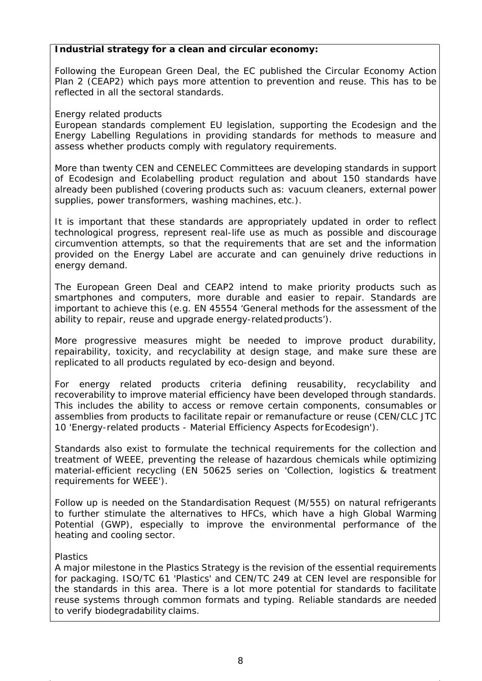#### **Industrial strategy for a clean and circular economy:**

Following the European Green Deal, the EC published the Circular Economy Action Plan 2 (CEAP2) which pays more attention to prevention and reuse. This has to be reflected in all the sectoral standards.

#### *Energy related products*

European standards complement EU legislation, supporting the Ecodesign and the Energy Labelling Regulations in providing standards for methods to measure and assess whether products comply with regulatory requirements.

More than twenty CEN and CENELEC Committees are developing standards in support of Ecodesign and Ecolabelling product regulation and about 150 standards have already been published (covering products such as: vacuum cleaners, external power supplies, power transformers, washing machines, etc.).

It is important that these standards are appropriately updated in order to reflect technological progress, represent real-life use as much as possible and discourage circumvention attempts, so that the requirements that are set and the information provided on the Energy Label are accurate and can genuinely drive reductions in energy demand.

The European Green Deal and CEAP2 intend to make priority products such as smartphones and computers, more durable and easier to repair. Standards are important to achieve this (e.g. EN 45554 'General methods for the assessment of the ability to repair, reuse and upgrade energy-relatedproducts').

More progressive measures might be needed to improve product durability, repairability, toxicity, and recyclability at design stage, and make sure these are replicated to all products regulated by eco-design and beyond.

For energy related products criteria defining reusability, recyclability and recoverability to improve material efficiency have been developed through standards. This includes the ability to access or remove certain components, consumables or assemblies from products to facilitate repair or remanufacture or reuse (CEN/CLC JTC 10 'Energy-related products - Material Efficiency Aspects forEcodesign').

Standards also exist to formulate the technical requirements for the collection and treatment of WEEE, preventing the release of hazardous chemicals while optimizing material-efficient recycling (EN 50625 series on 'Collection, logistics & treatment requirements for WEEE').

Follow up is needed on the Standardisation Request (M/555) on natural refrigerants to further stimulate the alternatives to HFCs, which have a high Global Warming Potential (GWP), especially to improve the environmental performance of the heating and cooling sector.

#### *Plastics*

A major milestone in the Plastics Strategy is the revision of the essential requirements for packaging. ISO/TC 61 'Plastics' and CEN/TC 249 at CEN level are responsible for the standards in this area. There is a lot more potential for standards to facilitate reuse systems through common formats and typing. Reliable standards are needed to verify biodegradability claims.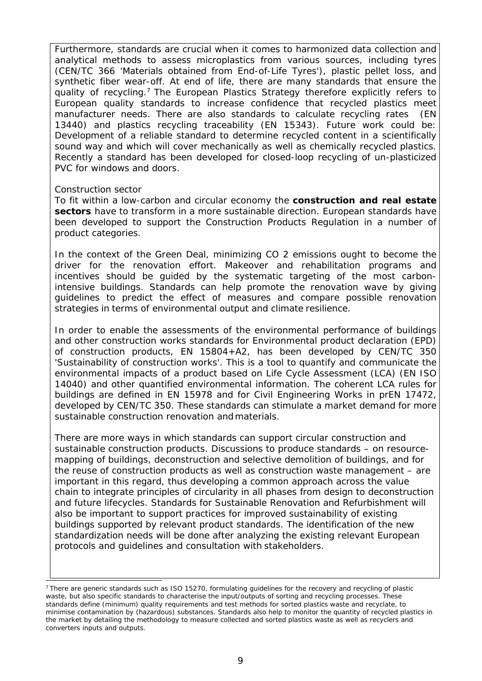Furthermore, standards are crucial when it comes to harmonized data collection and analytical methods to assess microplastics from various sources, including tyres (CEN/TC 366 'Materials obtained from End-of-Life Tyres'), plastic pellet loss, and synthetic fiber wear-off. At end of life, there are many standards that ensure the quality of recycling.<sup>7</sup> The European Plastics Strategy therefore explicitly refers to European quality standards to increase confidence that recycled plastics meet manufacturer needs. There are also standards to calculate recycling rates (EN 13440) and plastics recycling traceability (EN 15343). Future work could be: Development of a reliable standard to determine recycled content in a scientifically sound way and which will cover mechanically as well as chemically recycled plastics. Recently a standard has been developed for closed-loop recycling of un-plasticized PVC for windows and doors.

#### *Construction sector*

To fit within a low-carbon and circular economy the **construction and real estate sectors** have to transform in a more sustainable direction. European standards have been developed to support the Construction Products Regulation in a number of product categories.

In the context of the Green Deal, minimizing CO 2 emissions ought to become the driver for the renovation effort. Makeover and rehabilitation programs and incentives should be guided by the systematic targeting of the most carbonintensive buildings. Standards can help promote the renovation wave by giving guidelines to predict the effect of measures and compare possible renovation strategies in terms of environmental output and climate resilience.

In order to enable the assessments of the environmental performance of buildings and other construction works standards for Environmental product declaration (EPD) of construction products, EN 15804+A2, has been developed by CEN/TC 350 'Sustainability of construction works'. This is a tool to quantify and communicate the environmental impacts of a product based on Life Cycle Assessment (LCA) (EN ISO 14040) and other quantified environmental information. The coherent LCA rules for buildings are defined in EN 15978 and for Civil Engineering Works in prEN 17472, developed by CEN/TC 350. These standards can stimulate a market demand for more sustainable construction renovation and materials.

There are more ways in which standards can support circular construction and sustainable construction products. Discussions to produce standards – on resourcemapping of buildings, deconstruction and selective demolition of buildings, and for the reuse of construction products as well as construction waste management – are important in this regard, thus developing a common approach across the value chain to integrate principles of circularity in all phases from design to deconstruction and future lifecycles. Standards for Sustainable Renovation and Refurbishment will also be important to support practices for improved sustainability of existing buildings supported by relevant product standards. The identification of the new standardization needs will be done after analyzing the existing relevant European protocols and guidelines and consultation with stakeholders.

<span id="page-8-0"></span><sup>&</sup>lt;sup>7</sup> There are generic standards such as ISO 15270, formulating guidelines for the recovery and recycling of plastic waste, but also specific standards to characterise the input/outputs of sorting and recycling processes. These standards define (minimum) quality requirements and test methods for sorted plastics waste and recyclate, to minimise contamination by (hazardous) substances. Standards also help to monitor the quantity of recycled plastics in the market by detailing the methodology to measure collected and sorted plastics waste as well as recyclers and converters inputs and outputs.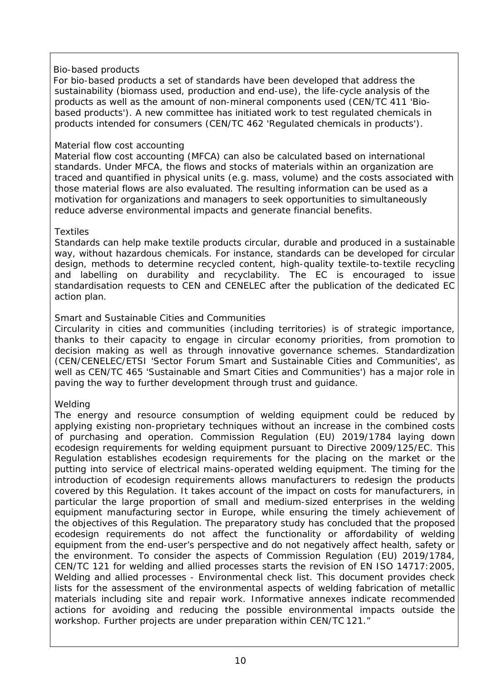#### *Bio-based products*

For bio-based products a set of standards have been developed that address the sustainability (biomass used, production and end-use), the life-cycle analysis of the products as well as the amount of non-mineral components used (CEN/TC 411 'Biobased products'). A new committee has initiated work to test regulated chemicals in products intended for consumers (CEN/TC 462 'Regulated chemicals in products').

#### *Material flow cost accounting*

Material flow cost accounting (MFCA) can also be calculated based on international standards. Under MFCA, the flows and stocks of materials within an organization are traced and quantified in physical units (e.g. mass, volume) and the costs associated with those material flows are also evaluated. The resulting information can be used as a motivation for organizations and managers to seek opportunities to simultaneously reduce adverse environmental impacts and generate financial benefits.

#### *Textiles*

Standards can help make textile products circular, durable and produced in a sustainable way, without hazardous chemicals. For instance, standards can be developed for circular design, methods to determine recycled content, high-quality textile-to-textile recycling and labelling on durability and recyclability. The EC is encouraged to issue standardisation requests to CEN and CENELEC after the publication of the dedicated EC action plan.

#### *Smart and Sustainable Cities and Communities*

Circularity in cities and communities (including territories) is of strategic importance, thanks to their capacity to engage in circular economy priorities, from promotion to decision making as well as through innovative governance schemes. Standardization (CEN/CENELEC/ETSI 'Sector Forum Smart and Sustainable Cities and Communities', as well as CEN/TC 465 'Sustainable and Smart Cities and Communities') has a major role in paving the way to further development through trust and guidance.

#### *Welding*

The energy and resource consumption of welding equipment could be reduced by applying existing non-proprietary techniques without an increase in the combined costs of purchasing and operation. Commission Regulation (EU) 2019/1784 laying down ecodesign requirements for welding equipment pursuant to Directive 2009/125/EC. This Regulation establishes ecodesign requirements for the placing on the market or the putting into service of electrical mains-operated welding equipment. The timing for the introduction of ecodesign requirements allows manufacturers to redesign the products covered by this Regulation. It takes account of the impact on costs for manufacturers, in particular the large proportion of small and medium-sized enterprises in the welding equipment manufacturing sector in Europe, while ensuring the timely achievement of the objectives of this Regulation. The preparatory study has concluded that the proposed ecodesign requirements do not affect the functionality or affordability of welding equipment from the end-user's perspective and do not negatively affect health, safety or the environment. To consider the aspects of Commission Regulation (EU) 2019/1784, CEN/TC 121 for welding and allied processes starts the revision of EN ISO 14717:2005, Welding and allied processes - Environmental check list. This document provides check lists for the assessment of the environmental aspects of welding fabrication of metallic materials including site and repair work. Informative annexes indicate recommended actions for avoiding and reducing the possible environmental impacts outside the workshop. Further projects are under preparation within CEN/TC 121."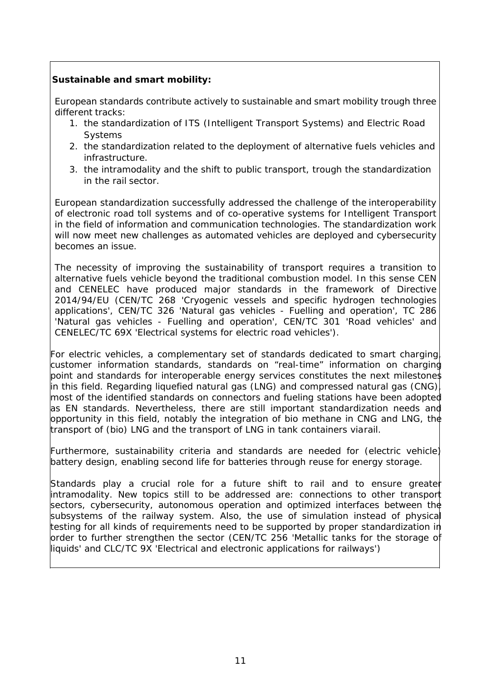## **Sustainable and smart mobility:**

European standards contribute actively to sustainable and smart mobility trough three different tracks:

- 1. the standardization of ITS (Intelligent Transport Systems) and Electric Road Systems
- 2. the standardization related to the deployment of alternative fuels vehicles and infrastructure.
- 3. the intramodality and the shift to public transport, trough the standardization in the rail sector.

European standardization successfully addressed the challenge of the interoperability of electronic road toll systems and of co-operative systems for Intelligent Transport in the field of information and communication technologies. The standardization work will now meet new challenges as automated vehicles are deployed and cybersecurity becomes an issue.

The necessity of improving the sustainability of transport requires a transition to alternative fuels vehicle beyond the traditional combustion model. In this sense CEN and CENELEC have produced major standards in the framework of Directive 2014/94/EU (CEN/TC 268 'Cryogenic vessels and specific hydrogen technologies applications', CEN/TC 326 'Natural gas vehicles - Fuelling and operation', TC 286 'Natural gas vehicles - Fuelling and operation', CEN/TC 301 'Road vehicles' and CENELEC/TC 69X 'Electrical systems for electric road vehicles').

For electric vehicles, a complementary set of standards dedicated to smart charging, customer information standards, standards on "real-time" information on charging point and standards for interoperable energy services constitutes the next milestones in this field. Regarding liquefied natural gas (LNG) and compressed natural gas (CNG), most of the identified standards on connectors and fueling stations have been adopted as EN standards. Nevertheless, there are still important standardization needs and opportunity in this field, notably the integration of bio methane in CNG and LNG, the transport of (bio) LNG and the transport of LNG in tank containers viarail.

Furthermore, sustainability criteria and standards are needed for (electric vehicle) battery design, enabling second life for batteries through reuse for energy storage.

Standards play a crucial role for a future shift to rail and to ensure greater intramodality. New topics still to be addressed are: connections to other transport sectors, cybersecurity, autonomous operation and optimized interfaces between the subsystems of the railway system. Also, the use of simulation instead of physical testing for all kinds of requirements need to be supported by proper standardization in order to further strengthen the sector (CEN/TC 256 'Metallic tanks for the storage of liquids' and CLC/TC 9X 'Electrical and electronic applications for railways')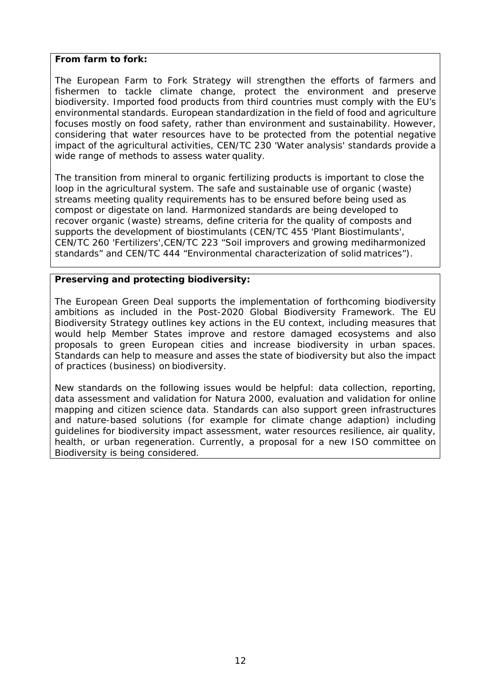#### **From farm to fork:**

The European Farm to Fork Strategy will strengthen the efforts of farmers and fishermen to tackle climate change, protect the environment and preserve biodiversity. Imported food products from third countries must comply with the EU's environmental standards. European standardization in the field of food and agriculture focuses mostly on food safety, rather than environment and sustainability. However, considering that water resources have to be protected from the potential negative impact of the agricultural activities, CEN/TC 230 'Water analysis' standards provide a wide range of methods to assess water quality.

The transition from mineral to organic fertilizing products is important to close the loop in the agricultural system. The safe and sustainable use of organic (waste) streams meeting quality requirements has to be ensured before being used as compost or digestate on land. Harmonized standards are being developed to recover organic (waste) streams, define criteria for the quality of composts and supports the development of biostimulants (CEN/TC 455 'Plant Biostimulants', CEN/TC 260 'Fertilizers',CEN/TC 223 "Soil improvers and growing mediharmonized standards" and CEN/TC 444 "Environmental characterization of solid matrices").

#### **Preserving and protecting biodiversity:**

The European Green Deal supports the implementation of forthcoming biodiversity ambitions as included in the Post-2020 Global Biodiversity Framework. The EU Biodiversity Strategy outlines key actions in the EU context, including measures that would help Member States improve and restore damaged ecosystems and also proposals to green European cities and increase biodiversity in urban spaces. Standards can help to measure and asses the state of biodiversity but also the impact of practices (business) on biodiversity.

New standards on the following issues would be helpful: data collection, reporting, data assessment and validation for Natura 2000, evaluation and validation for online mapping and citizen science data. Standards can also support green infrastructures and nature-based solutions (for example for climate change adaption) including guidelines for biodiversity impact assessment, water resources resilience, air quality, health, or urban regeneration. Currently, a proposal for a new ISO committee on Biodiversity is being considered.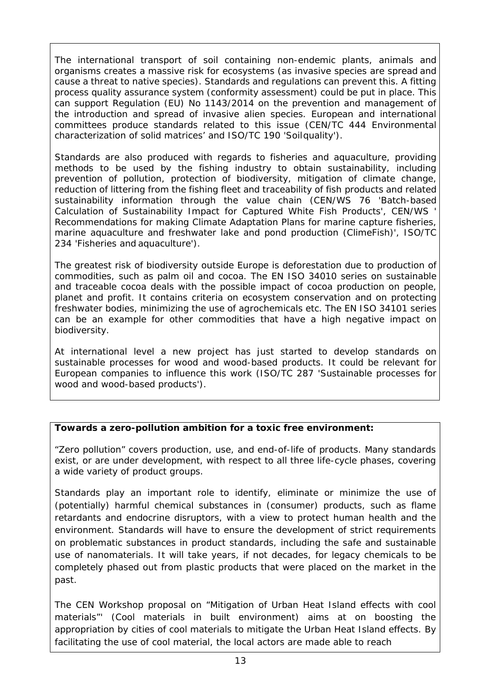The international transport of soil containing non-endemic plants, animals and organisms creates a massive risk for ecosystems (as invasive species are spread and cause a threat to native species). Standards and regulations can prevent this. A fitting process quality assurance system (conformity assessment) could be put in place. This can support Regulation (EU) No 1143/2014 on the prevention and management of the introduction and spread of invasive alien species. European and international committees produce standards related to this issue (CEN/TC 444 Environmental characterization of solid matrices' and ISO/TC 190 'Soilquality').

Standards are also produced with regards to fisheries and aquaculture, providing methods to be used by the fishing industry to obtain sustainability, including prevention of pollution, protection of biodiversity, mitigation of climate change, reduction of littering from the fishing fleet and traceability of fish products and related sustainability information through the value chain (CEN/WS 76 'Batch-based Calculation of Sustainability Impact for Captured White Fish Products', CEN/WS ' Recommendations for making Climate Adaptation Plans for marine capture fisheries, marine aquaculture and freshwater lake and pond production (ClimeFish)', ISO/TC 234 'Fisheries and aquaculture').

The greatest risk of biodiversity outside Europe is deforestation due to production of commodities, such as palm oil and cocoa. The EN ISO 34010 series on sustainable and traceable cocoa deals with the possible impact of cocoa production on people, planet and profit. It contains criteria on ecosystem conservation and on protecting freshwater bodies, minimizing the use of agrochemicals etc. The EN ISO 34101 series can be an example for other commodities that have a high negative impact on biodiversity.

At international level a new project has just started to develop standards on sustainable processes for wood and wood-based products. It could be relevant for European companies to influence this work (ISO/TC 287 'Sustainable processes for wood and wood-based products').

#### **Towards a zero-pollution ambition for a toxic free environment:**

"Zero pollution" covers production, use, and end-of-life of products. Many standards exist, or are under development, with respect to all three life-cycle phases, covering a wide variety of product groups.

Standards play an important role to identify, eliminate or minimize the use of (potentially) harmful chemical substances in (consumer) products, such as flame retardants and endocrine disruptors, with a view to protect human health and the environment. Standards will have to ensure the development of strict requirements on problematic substances in product standards, including the safe and sustainable use of nanomaterials. It will take years, if not decades, for legacy chemicals to be completely phased out from plastic products that were placed on the market in the past.

The CEN Workshop proposal on "Mitigation of Urban Heat Island effects with cool materials"' (Cool materials in built environment) aims at on boosting the appropriation by cities of cool materials to mitigate the Urban Heat Island effects. By facilitating the use of cool material, the local actors are made able to reach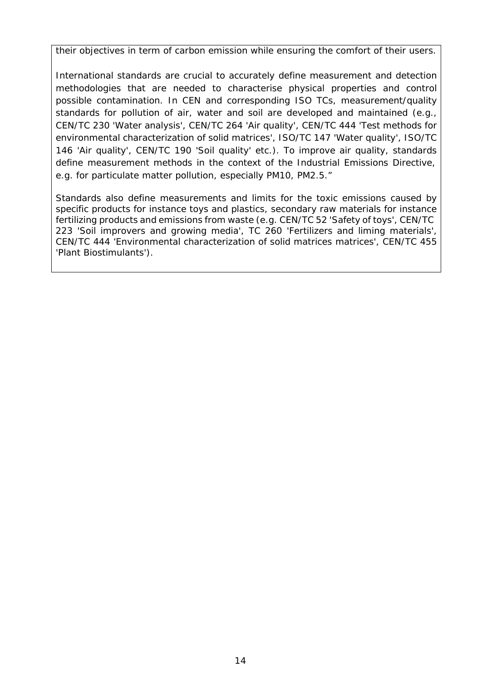their objectives in term of carbon emission while ensuring the comfort of their users.

International standards are crucial to accurately define measurement and detection methodologies that are needed to characterise physical properties and control possible contamination. In CEN and corresponding ISO TCs, measurement/quality standards for pollution of air, water and soil are developed and maintained (e.g., CEN/TC 230 'Water analysis', CEN/TC 264 'Air quality', CEN/TC 444 'Test methods for environmental characterization of solid matrices', ISO/TC 147 'Water quality', ISO/TC 146 'Air quality', CEN/TC 190 'Soil quality' etc.). To improve air quality, standards define measurement methods in the context of the Industrial Emissions Directive, e.g. for particulate matter pollution, especially PM10, PM2.5."

Standards also define measurements and limits for the toxic emissions caused by specific products for instance toys and plastics, secondary raw materials for instance fertilizing products and emissions from waste (e.g. CEN/TC 52 'Safety of toys', CEN/TC 223 'Soil improvers and growing media', TC 260 'Fertilizers and liming materials', CEN/TC 444 'Environmental characterization of solid matrices matrices', CEN/TC 455 'Plant Biostimulants').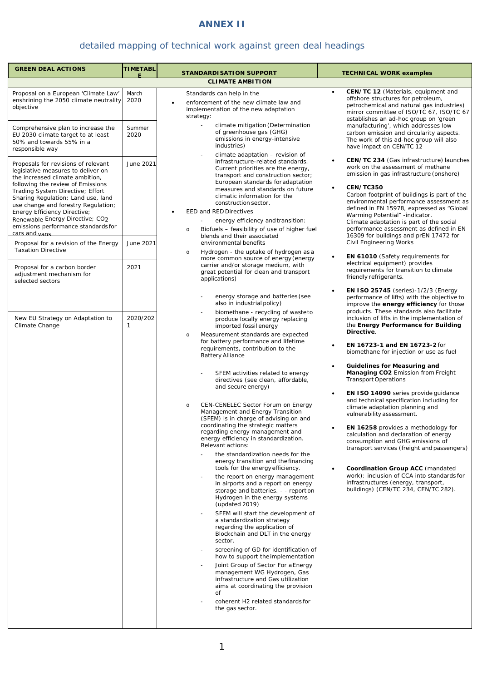# **ANNEX II**

# detailed mapping of technical work against green deal headings

| <b>GREEN DEAL ACTIONS</b>                                                                                                                                                                                                                                                                                                                                                                     | <b>TIMETABL</b> | <b>STANDARDISATION SUPPORT</b>                                                                                                                                                                                                                                                                                                                                                                                                                                                                                                                                                                                                                                                                                                                                                                                                                                                                                                                                                                                                                                                                                                                                                                                                                                                                                                                                       | <b>TECHNICAL WORK examples</b>                                                                                                                                                                                                                                                                                                                                                                                                                                                                                                                                                                                                                                                                                                                                                                                                                                                                      |
|-----------------------------------------------------------------------------------------------------------------------------------------------------------------------------------------------------------------------------------------------------------------------------------------------------------------------------------------------------------------------------------------------|-----------------|----------------------------------------------------------------------------------------------------------------------------------------------------------------------------------------------------------------------------------------------------------------------------------------------------------------------------------------------------------------------------------------------------------------------------------------------------------------------------------------------------------------------------------------------------------------------------------------------------------------------------------------------------------------------------------------------------------------------------------------------------------------------------------------------------------------------------------------------------------------------------------------------------------------------------------------------------------------------------------------------------------------------------------------------------------------------------------------------------------------------------------------------------------------------------------------------------------------------------------------------------------------------------------------------------------------------------------------------------------------------|-----------------------------------------------------------------------------------------------------------------------------------------------------------------------------------------------------------------------------------------------------------------------------------------------------------------------------------------------------------------------------------------------------------------------------------------------------------------------------------------------------------------------------------------------------------------------------------------------------------------------------------------------------------------------------------------------------------------------------------------------------------------------------------------------------------------------------------------------------------------------------------------------------|
|                                                                                                                                                                                                                                                                                                                                                                                               |                 | <b>CLIMATE AMBITION</b>                                                                                                                                                                                                                                                                                                                                                                                                                                                                                                                                                                                                                                                                                                                                                                                                                                                                                                                                                                                                                                                                                                                                                                                                                                                                                                                                              |                                                                                                                                                                                                                                                                                                                                                                                                                                                                                                                                                                                                                                                                                                                                                                                                                                                                                                     |
| Proposal on a European 'Climate Law'<br>enshrining the 2050 climate neutrality<br>objective                                                                                                                                                                                                                                                                                                   | March<br>2020   | Standards can help in the<br>enforcement of the new climate law and<br>implementation of the new adaptation<br>strategy:                                                                                                                                                                                                                                                                                                                                                                                                                                                                                                                                                                                                                                                                                                                                                                                                                                                                                                                                                                                                                                                                                                                                                                                                                                             | CEN/TC 12 (Materials, equipment and<br>$\bullet$<br>offshore structures for petroleum,<br>petrochemical and natural gas industries)<br>mirror committee of ISO/TC 67, ISO/TC 67<br>establishes an ad-hoc group on 'green                                                                                                                                                                                                                                                                                                                                                                                                                                                                                                                                                                                                                                                                            |
| Comprehensive plan to increase the<br>EU 2030 climate target to at least<br>50% and towards 55% in a<br>responsible way                                                                                                                                                                                                                                                                       | Summer<br>2020  | climate mitigation (Determination<br>of greenhouse gas (GHG)<br>emissions in energy-intensive<br>industries)<br>climate adaptation - revision of                                                                                                                                                                                                                                                                                                                                                                                                                                                                                                                                                                                                                                                                                                                                                                                                                                                                                                                                                                                                                                                                                                                                                                                                                     | manufacturing', which addresses low<br>carbon emission and circularity aspects.<br>The work of this ad-hoc group will also<br>have impact on CEN/TC 12                                                                                                                                                                                                                                                                                                                                                                                                                                                                                                                                                                                                                                                                                                                                              |
| Proposals for revisions of relevant<br>legislative measures to deliver on<br>the increased climate ambition.<br>following the review of Emissions<br>Trading System Directive; Effort<br>Sharing Regulation; Land use, land<br>use change and forestry Regulation;<br>Energy Efficiency Directive;<br>Renewable Energy Directive; CO2<br>emissions performance standards for<br>cars and vans | June 2021       | infrastructure-related standards.<br>Current priorities are the energy,<br>transport and construction sector;<br>European standards for adaptation<br>measures and standards on future<br>climatic information for the<br>construction sector.<br>EED and RED Directives<br>energy efficiency and transition:<br>Biofuels - feasibility of use of higher fuel<br>$\circ$<br>blends and their associated                                                                                                                                                                                                                                                                                                                                                                                                                                                                                                                                                                                                                                                                                                                                                                                                                                                                                                                                                              | CEN/TC 234 (Gas infrastructure) launches<br>$\bullet$<br>work on the assessment of methane<br>emission in gas infrastructure (onshore)<br>CEN/TC350<br>$\bullet$<br>Carbon footprint of buildings is part of the<br>environmental performance assessment as<br>defined in EN 15978, expressed as "Global<br>Warming Potential" -indicator.<br>Climate adaptation is part of the social<br>performance assessment as defined in EN<br>16309 for buildings and prEN 17472 for                                                                                                                                                                                                                                                                                                                                                                                                                         |
| Proposal for a revision of the Energy<br><b>Taxation Directive</b>                                                                                                                                                                                                                                                                                                                            | June 2021       | environmental benefits<br>Hydrogen - the uptake of hydrogen as a<br>$\circ$<br>more common source of energy (energy                                                                                                                                                                                                                                                                                                                                                                                                                                                                                                                                                                                                                                                                                                                                                                                                                                                                                                                                                                                                                                                                                                                                                                                                                                                  | Civil Engineering Works<br>EN 61010 (Safety requirements for<br>$\bullet$                                                                                                                                                                                                                                                                                                                                                                                                                                                                                                                                                                                                                                                                                                                                                                                                                           |
| Proposal for a carbon border<br>adjustment mechanism for<br>selected sectors                                                                                                                                                                                                                                                                                                                  | 2021            | carrier and/or storage medium, with<br>great potential for clean and transport<br>applications)<br>energy storage and batteries (see<br>also in industrial policy)                                                                                                                                                                                                                                                                                                                                                                                                                                                                                                                                                                                                                                                                                                                                                                                                                                                                                                                                                                                                                                                                                                                                                                                                   | electrical equipment) provides<br>requirements for transition to climate<br>friendly refrigerants.<br><b>EN ISO 25745</b> (series)-1/2/3 (Energy<br>$\bullet$<br>performance of lifts) with the objective to                                                                                                                                                                                                                                                                                                                                                                                                                                                                                                                                                                                                                                                                                        |
| New EU Strategy on Adaptation to<br>Climate Change                                                                                                                                                                                                                                                                                                                                            | 2020/202<br>1   | biomethane - recycling of wasteto<br>produce locally energy replacing<br>imported fossil energy<br>Measurement standards are expected<br>$\circ$<br>for battery performance and lifetime<br>requirements, contribution to the<br><b>Battery Alliance</b><br>SFEM activities related to energy<br>directives (see clean, affordable,<br>and secure energy)<br>CEN-CENELEC Sector Forum on Energy<br>$\circ$<br>Management and Energy Transition<br>(SFEM) is in charge of advising on and<br>coordinating the strategic matters<br>regarding energy management and<br>energy efficiency in standardization.<br>Relevant actions:<br>the standardization needs for the<br>energy transition and the financing<br>tools for the energy efficiency.<br>the report on energy management<br>in airports and a report on energy<br>storage and batteries. - - report on<br>Hydrogen in the energy systems<br>(updated 2019)<br>SFEM will start the development of<br>a standardization strategy<br>regarding the application of<br>Blockchain and DLT in the energy<br>sector.<br>screening of GD for identification of<br>how to support the implementation<br>Joint Group of Sector For a Energy<br>management WG Hydrogen, Gas<br>infrastructure and Gas utilization<br>aims at coordinating the provision<br>of<br>coherent H2 related standards for<br>the gas sector. | improve the energy efficiency for those<br>products. These standards also facilitate<br>inclusion of lifts in the implementation of<br>the Energy Performance for Building<br>Directive.<br>EN 16723-1 and EN 16723-2 for<br>biomethane for injection or use as fuel<br>Guidelines for Measuring and<br>$\bullet$<br>Managing CO2 Emission from Freight<br><b>Transport Operations</b><br>EN ISO 14090 series provide guidance<br>$\bullet$<br>and technical specification including for<br>climate adaptation planning and<br>vulnerability assessment.<br><b>EN 16258</b> provides a methodology for<br>calculation and declaration of energy<br>consumption and GHG emissions of<br>transport services (freight and passengers)<br>Coordination Group ACC (mandated<br>work): inclusion of CCA into standards for<br>infrastructures (energy, transport,<br>buildings) (CEN/TC 234, CEN/TC 282). |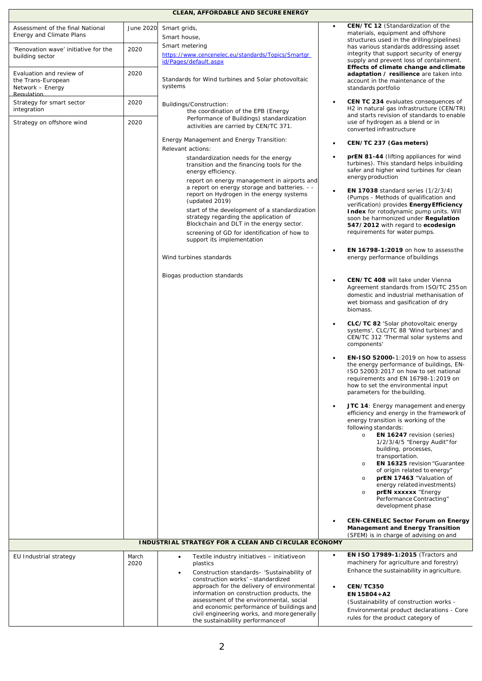#### **CLEAN, AFFORDABLE AND SECURE ENERGY**

| Assessment of the final National<br>Energy and Climate Plans                     | June 2020     | Smart grids,<br>Smart house,                                                                                                                                                                                                                                                                      |           | CEN/TC 12 (Standardization of the<br>materials, equipment and offshore                                                                                                                                                                                                                                                                                                                                                                                                                            |
|----------------------------------------------------------------------------------|---------------|---------------------------------------------------------------------------------------------------------------------------------------------------------------------------------------------------------------------------------------------------------------------------------------------------|-----------|---------------------------------------------------------------------------------------------------------------------------------------------------------------------------------------------------------------------------------------------------------------------------------------------------------------------------------------------------------------------------------------------------------------------------------------------------------------------------------------------------|
| 'Renovation wave' initiative for the<br>building sector                          | 2020          | Smart metering<br>https://www.cencenelec.eu/standards/Topics/Smartgr<br>id/Pages/default.aspx                                                                                                                                                                                                     |           | structures used in the drilling/pipelines)<br>has various standards addressing asset<br>integrity that support security of energy<br>supply and prevent loss of containment.                                                                                                                                                                                                                                                                                                                      |
| Evaluation and review of<br>the Trans-European<br>Network – Energy<br>Regulation | 2020          | Standards for Wind turbines and Solar photovoltaic<br>systems                                                                                                                                                                                                                                     |           | Effects of climate change and climate<br>adaptation / resilience are taken into<br>account in the maintenance of the<br>standards portfolio                                                                                                                                                                                                                                                                                                                                                       |
| Strategy for smart sector<br>integration                                         | 2020          | Buildings/Construction:<br>the coordination of the EPB (Energy                                                                                                                                                                                                                                    |           | <b>CEN TC 234 evaluates consequences of</b><br>H <sub>2</sub> in natural gas infrastructure (CEN/TR)<br>and starts revision of standards to enable                                                                                                                                                                                                                                                                                                                                                |
| Strategy on offshore wind                                                        | 2020          | Performance of Buildings) standardization<br>activities are carried by CEN/TC 371.                                                                                                                                                                                                                |           | use of hydrogen as a blend or in<br>converted infrastructure                                                                                                                                                                                                                                                                                                                                                                                                                                      |
|                                                                                  |               | Energy Management and Energy Transition:<br>Relevant actions:                                                                                                                                                                                                                                     | $\bullet$ | CEN/TC 237 (Gas meters)                                                                                                                                                                                                                                                                                                                                                                                                                                                                           |
|                                                                                  |               | standardization needs for the energy<br>transition and the financing tools for the<br>energy efficiency.<br>report on energy management in airports and                                                                                                                                           |           | prEN 81-44 (lifting appliances for wind<br>turbines). This standard helps inbuilding<br>safer and higher wind turbines for clean<br>energy production                                                                                                                                                                                                                                                                                                                                             |
|                                                                                  |               | a report on energy storage and batteries. - -<br>report on Hydrogen in the energy systems<br>(updated 2019)<br>start of the development of a standardization<br>strategy regarding the application of<br>Blockchain and DLT in the energy sector.<br>screening of GD for identification of how to |           | <b>EN 17038</b> standard series (1/2/3/4)<br>(Pumps - Methods of qualification and<br>verification) provides Energy Efficiency<br><b>Index</b> for rotodynamic pump units. Will<br>soon be harmonized under Regulation<br>547/2012 with regard to ecodesign<br>requirements for water pumps.                                                                                                                                                                                                      |
|                                                                                  |               | support its implementation                                                                                                                                                                                                                                                                        |           |                                                                                                                                                                                                                                                                                                                                                                                                                                                                                                   |
|                                                                                  |               | Wind turbines standards                                                                                                                                                                                                                                                                           |           | <b>EN 16798-1:2019</b> on how to assess the<br>energy performance of buildings                                                                                                                                                                                                                                                                                                                                                                                                                    |
|                                                                                  |               | Biogas production standards                                                                                                                                                                                                                                                                       |           | <b>CEN/TC 408 will take under Vienna</b><br>Agreement standards from ISO/TC 255 on<br>domestic and industrial methanisation of<br>wet biomass and gasification of dry<br>biomass.                                                                                                                                                                                                                                                                                                                 |
|                                                                                  |               |                                                                                                                                                                                                                                                                                                   |           | CLC/TC 82 'Solar photovoltaic energy<br>systems', CLC/TC 88 'Wind turbines' and<br>CEN/TC 312 'Thermal solar systems and<br>components'                                                                                                                                                                                                                                                                                                                                                           |
|                                                                                  |               |                                                                                                                                                                                                                                                                                                   |           | EN-1SO 52000-1:2019 on how to assess<br>the energy performance of buildings, EN-<br>ISO 52003:2017 on how to set national<br>requirements and EN 16798-1:2019 on<br>how to set the environmental input<br>parameters for the building.                                                                                                                                                                                                                                                            |
|                                                                                  |               |                                                                                                                                                                                                                                                                                                   |           | JTC 14: Energy management and energy<br>efficiency and energy in the framework of<br>energy transition is working of the<br>following standards:<br><b>EN 16247</b> revision (series)<br>$\circ$<br>1/2/3/4/5 "Energy Audit" for<br>building, processes,<br>transportation.<br><b>EN 16325 revision "Guarantee</b><br>$\circ$<br>of origin related to energy"<br>prEN 17463 "Valuation of<br>$\circ$<br>energy related investments)<br>prEN xxxxxx "Energy<br>$\circ$<br>Performance Contracting" |
|                                                                                  |               |                                                                                                                                                                                                                                                                                                   |           | development phase<br><b>CEN-CENELEC Sector Forum on Energy</b>                                                                                                                                                                                                                                                                                                                                                                                                                                    |
|                                                                                  |               |                                                                                                                                                                                                                                                                                                   |           | <b>Management and Energy Transition</b><br>(SFEM) is in charge of advising on and                                                                                                                                                                                                                                                                                                                                                                                                                 |
|                                                                                  |               | <b>INDUSTRIAL STRATEGY FOR A CLEAN AND CIRCULAR ECONOMY</b>                                                                                                                                                                                                                                       |           |                                                                                                                                                                                                                                                                                                                                                                                                                                                                                                   |
| EU Industrial strategy                                                           | March<br>2020 | Textile industry initiatives - initiative on<br>$\bullet$<br>plastics<br>Construction standards- 'Sustainability of<br>construction works' -standardized<br>approach for the delivery of environmental                                                                                            | $\bullet$ | EN ISO 17989-1:2015 (Tractors and<br>machinery for agriculture and forestry)<br>Enhance the sustainability in agriculture.<br>CEN/TC350                                                                                                                                                                                                                                                                                                                                                           |
|                                                                                  |               | information on construction products, the<br>assessment of the environmental, social                                                                                                                                                                                                              |           | EN 15804+A2                                                                                                                                                                                                                                                                                                                                                                                                                                                                                       |
|                                                                                  |               | and economic performance of buildings and                                                                                                                                                                                                                                                         |           | (Sustainability of construction works -<br>Environmental product declarations - Core                                                                                                                                                                                                                                                                                                                                                                                                              |
|                                                                                  |               | civil engineering works, and more generally<br>the sustainability performance of                                                                                                                                                                                                                  |           | rules for the product category of                                                                                                                                                                                                                                                                                                                                                                                                                                                                 |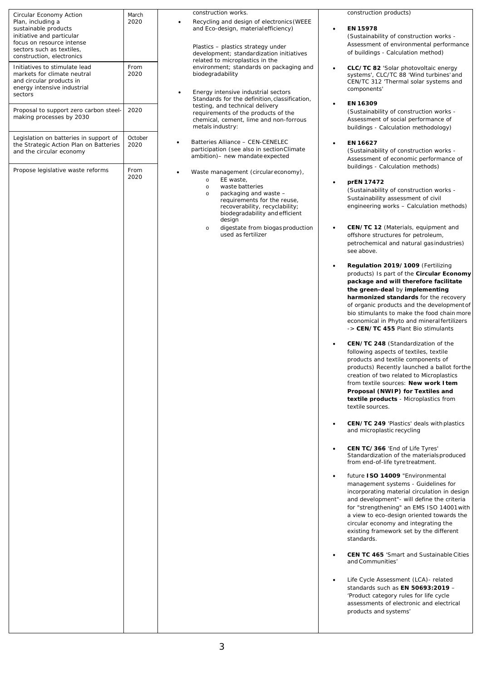| Circular Economy Action<br>Plan, including a<br>sustainable products<br>initiative and particular<br>focus on resource intense<br>sectors such as textiles,<br>construction, electronics<br>Initiatives to stimulate lead | March<br>2020<br>From | $\bullet$ | construction works.           | Recycling and design of electronics (WEEE<br>and Eco-design, material efficiency)<br>Plastics - plastics strategy under<br>development; standardization initiatives<br>related to microplastics in the | environment; standards on packaging and | $\bullet$ | construction products)<br>EN 15978<br>(Sustainability of construction works -<br>Assessment of environmental performance<br>of buildings - Calculation method)<br>CLC/TC 82 'Solar photovoltaic energy                                                                                                                                                                                                                                           |
|---------------------------------------------------------------------------------------------------------------------------------------------------------------------------------------------------------------------------|-----------------------|-----------|-------------------------------|--------------------------------------------------------------------------------------------------------------------------------------------------------------------------------------------------------|-----------------------------------------|-----------|--------------------------------------------------------------------------------------------------------------------------------------------------------------------------------------------------------------------------------------------------------------------------------------------------------------------------------------------------------------------------------------------------------------------------------------------------|
| markets for climate neutral<br>and circular products in<br>energy intensive industrial<br>sectors                                                                                                                         | 2020                  | ٠         | biodegradability              | Energy intensive industrial sectors<br>Standards for the definition, classification,                                                                                                                   |                                         |           | systems', CLC/TC 88 'Wind turbines' and<br>CEN/TC 312 'Thermal solar systems and<br>components'<br>EN 16309                                                                                                                                                                                                                                                                                                                                      |
| Proposal to support zero carbon steel-<br>making processes by 2030                                                                                                                                                        | 2020<br>October       |           | metals industry:              | testing, and technical delivery<br>requirements of the products of the<br>chemical, cement, lime and non-forrous                                                                                       |                                         |           | (Sustainability of construction works -<br>Assessment of social performance of<br>buildings - Calculation methodology)                                                                                                                                                                                                                                                                                                                           |
| Legislation on batteries in support of<br>the Strategic Action Plan on Batteries<br>and the circular economy<br>Propose legislative waste reforms                                                                         | 2020<br>From          |           |                               | Batteries Alliance - CEN-CENELEC<br>participation (see also in section Climate<br>ambition)- new mandate expected<br>Waste management (circulareconomy),                                               |                                         |           | EN 16627<br>(Sustainability of construction works -<br>Assessment of economic performance of<br>buildings - Calculation methods)                                                                                                                                                                                                                                                                                                                 |
|                                                                                                                                                                                                                           | 2020                  |           | $\circ$<br>$\circ$<br>$\circ$ | EE waste,<br>waste batteries<br>packaging and waste -<br>requirements for the reuse,<br>recoverability, recyclability;<br>biodegradability and efficient<br>design                                     |                                         |           | prEN 17472<br>(Sustainability of construction works -<br>Sustainability assessment of civil<br>engineering works - Calculation methods)                                                                                                                                                                                                                                                                                                          |
|                                                                                                                                                                                                                           |                       |           | $\circ$                       | digestate from biogas production<br>used as fertilizer                                                                                                                                                 |                                         | $\bullet$ | <b>CEN/TC 12</b> (Materials, equipment and<br>offshore structures for petroleum,<br>petrochemical and natural gasindustries)<br>see above.                                                                                                                                                                                                                                                                                                       |
|                                                                                                                                                                                                                           |                       |           |                               |                                                                                                                                                                                                        |                                         |           | Regulation 2019/1009 (Fertilizing<br>products) Is part of the Circular Economy<br>package and will therefore facilitate<br>the green-deal by implementing<br><b>harmonized standards</b> for the recovery<br>of organic products and the development of<br>bio stimulants to make the food chain more<br>economical in Phyto and mineralfertilizers<br>-> CEN/TC 455 Plant Bio stimulants                                                        |
|                                                                                                                                                                                                                           |                       |           |                               |                                                                                                                                                                                                        |                                         |           | <b>CEN/TC 248</b> (Standardization of the<br>following aspects of textiles, textile<br>products and textile components of<br>products) Recently launched a ballot for the<br>creation of two related to Microplastics<br>from textile sources: New work I tem<br>Proposal (NWIP) for Textiles and<br>textile products - Microplastics from<br>textile sources.                                                                                   |
|                                                                                                                                                                                                                           |                       |           |                               |                                                                                                                                                                                                        |                                         |           | <b>CEN/TC 249 'Plastics' deals with plastics</b><br>and microplastic recycling<br>CEN TC/366 'End of Life Tyres'                                                                                                                                                                                                                                                                                                                                 |
|                                                                                                                                                                                                                           |                       |           |                               |                                                                                                                                                                                                        |                                         |           | Standardization of the materials produced<br>from end-of-life tyre treatment.<br>future ISO 14009 "Environmental<br>management systems - Guidelines for<br>incorporating material circulation in design<br>and development"- will define the criteria<br>for "strengthening" an EMS ISO 14001 with<br>a view to eco-design oriented towards the<br>circular economy and integrating the<br>existing framework set by the different<br>standards. |
|                                                                                                                                                                                                                           |                       |           |                               |                                                                                                                                                                                                        |                                         |           | <b>CEN TC 465 'Smart and Sustainable Cities</b><br>and Communities'<br>Life Cycle Assessment (LCA) - related<br>standards such as EN 50693:2019 -<br>'Product category rules for life cycle<br>assessments of electronic and electrical<br>products and systems'                                                                                                                                                                                 |
|                                                                                                                                                                                                                           |                       |           |                               |                                                                                                                                                                                                        |                                         |           |                                                                                                                                                                                                                                                                                                                                                                                                                                                  |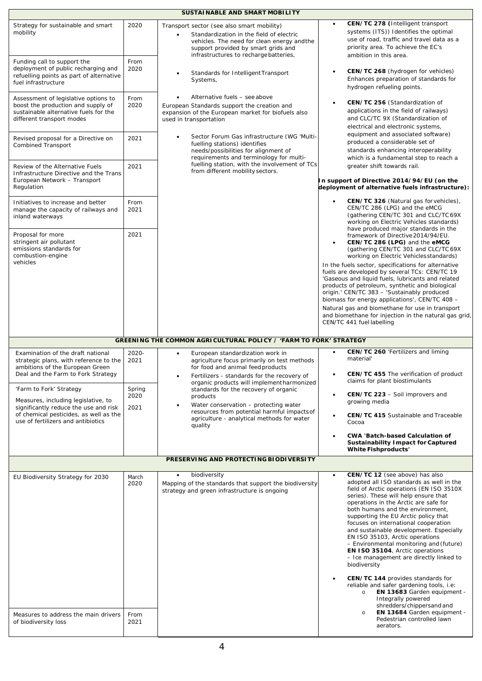| SUSTAINABLE AND SMART MOBILITY                                                                                                                       |               |                                                                                                                                                                                                                        |                                                                                                                                                                                                                                                                                                                                                                                                                                                                                                                                                                 |  |  |  |  |
|------------------------------------------------------------------------------------------------------------------------------------------------------|---------------|------------------------------------------------------------------------------------------------------------------------------------------------------------------------------------------------------------------------|-----------------------------------------------------------------------------------------------------------------------------------------------------------------------------------------------------------------------------------------------------------------------------------------------------------------------------------------------------------------------------------------------------------------------------------------------------------------------------------------------------------------------------------------------------------------|--|--|--|--|
| Strategy for sustainable and smart<br>mobility                                                                                                       | 2020          | Transport sector (see also smart mobility)<br>Standardization in the field of electric<br>vehicles. The need for clean energy and the<br>support provided by smart grids and<br>infrastructures to recharge batteries, | CEN/TC 278 (Intelligent transport<br>$\bullet$<br>systems (ITS)) Identifies the optimal<br>use of road, traffic and travel data as a<br>priority area. To achieve the EC's<br>ambition in this area.                                                                                                                                                                                                                                                                                                                                                            |  |  |  |  |
| Funding call to support the<br>deployment of public recharging and<br>refuelling points as part of alternative<br>fuel infrastructure                | From<br>2020  | Standards for Intelligent Transport<br>$\bullet$<br>Systems,                                                                                                                                                           | CEN/TC 268 (hydrogen for vehicles)<br>$\bullet$<br>Enhances preparation of standards for<br>hydrogen refueling points.                                                                                                                                                                                                                                                                                                                                                                                                                                          |  |  |  |  |
| Assessment of legislative options to<br>boost the production and supply of<br>sustainable alternative fuels for the<br>different transport modes     | From<br>2020  | Alternative fuels - see above<br>European Standards support the creation and<br>expansion of the European market for biofuels also<br>used in transportation                                                           | CEN/TC 256 (Standardization of<br>$\bullet$<br>applications in the field of railways)<br>and CLC/TC 9X (Standardization of<br>electrical and electronic systems,                                                                                                                                                                                                                                                                                                                                                                                                |  |  |  |  |
| Revised proposal for a Directive on<br>Combined Transport                                                                                            | 2021          | Sector Forum Gas infrastructure (WG 'Multi-<br>fuelling stations) identifies<br>needs/possibilities for alignment of<br>requirements and terminology for multi-                                                        | equipment and associated software)<br>produced a considerable set of<br>standards enhancing interoperability<br>which is a fundamental step to reach a                                                                                                                                                                                                                                                                                                                                                                                                          |  |  |  |  |
| Review of the Alternative Fuels<br>Infrastructure Directive and the Trans<br>European Network - Transport<br>Regulation                              | 2021          | fuelling station, with the involvement of TCs<br>from different mobility sectors.                                                                                                                                      | greater shift towards rail.<br>In support of Directive 2014/94/EU (on the<br>deployment of alternative fuels infrastructure):                                                                                                                                                                                                                                                                                                                                                                                                                                   |  |  |  |  |
| Initiatives to increase and better<br>manage the capacity of railways and<br>inland waterways                                                        | From<br>2021  |                                                                                                                                                                                                                        | CEN/TC 326 (Natural gas for vehicles),<br>$\bullet$<br>CEN/TC 286 (LPG) and the eMCG<br>(gathering CEN/TC 301 and CLC/TC 69X)<br>working on Electric Vehicles standards)<br>have produced major standards in the                                                                                                                                                                                                                                                                                                                                                |  |  |  |  |
| Proposal for more<br>stringent air pollutant<br>emissions standards for<br>combustion-engine                                                         | 2021          |                                                                                                                                                                                                                        | framework of Directive 2014/94/EU.<br>CEN/TC 286 (LPG) and the eMCG<br>$\bullet$<br>(gathering CEN/TC 301 and CLC/TC 69X)<br>working on Electric Vehiclesstandards)                                                                                                                                                                                                                                                                                                                                                                                             |  |  |  |  |
| vehicles                                                                                                                                             |               |                                                                                                                                                                                                                        | In the fuels sector, specifications for alternative<br>fuels are developed by several TCs: CEN/TC 19<br>'Gaseous and liquid fuels, lubricants and related<br>products of petroleum, synthetic and biological<br>origin.' CEN/TC 383 - 'Sustainably produced<br>biomass for energy applications', CEN/TC 408 -                                                                                                                                                                                                                                                   |  |  |  |  |
|                                                                                                                                                      |               |                                                                                                                                                                                                                        | Natural gas and biomethane for use in transport<br>and biomethane for injection in the natural gas grid,<br>CEN/TC 441 fuel labelling                                                                                                                                                                                                                                                                                                                                                                                                                           |  |  |  |  |
| GREENING THE COMMON AGRICULTURAL POLICY / 'FARM TO FORK' STRATEGY                                                                                    |               |                                                                                                                                                                                                                        |                                                                                                                                                                                                                                                                                                                                                                                                                                                                                                                                                                 |  |  |  |  |
| Examination of the draft national<br>strategic plans, with reference to the<br>ambitions of the European Green<br>Deal and the Farm to Fork Strategy | 2020-<br>2021 | European standardization work in<br>$\bullet$<br>agriculture focus primarily on test methods<br>for food and animal feed products<br>Fertilizers - standards for the recovery of<br>$\bullet$                          | CEN/TC 260 'Fertilizers and liming<br>$\bullet$<br>material'<br>CEN/TC 455 The verification of product                                                                                                                                                                                                                                                                                                                                                                                                                                                          |  |  |  |  |
| 'Farm to Fork' Strategy                                                                                                                              | Spring        | organic products will implement harmonized<br>standards for the recovery of organic                                                                                                                                    | claims for plant biostimulants<br>CEN/TC 223 - Soil improvers and<br>$\bullet$                                                                                                                                                                                                                                                                                                                                                                                                                                                                                  |  |  |  |  |
| Measures, including legislative, to<br>significantly reduce the use and risk                                                                         | 2020<br>2021  | products<br>Water conservation - protecting water<br>$\bullet$<br>resources from potential harmful impacts of                                                                                                          | growing media                                                                                                                                                                                                                                                                                                                                                                                                                                                                                                                                                   |  |  |  |  |
| of chemical pesticides, as well as the<br>use of fertilizers and antibiotics                                                                         |               | agriculture - analytical methods for water<br>quality                                                                                                                                                                  | <b>CEN/TC 415 Sustainable and Traceable</b><br>$\bullet$<br>Cocoa                                                                                                                                                                                                                                                                                                                                                                                                                                                                                               |  |  |  |  |
|                                                                                                                                                      |               |                                                                                                                                                                                                                        | <b>CWA 'Batch-based Calculation of</b><br>$\bullet$<br><b>Sustainability Impact for Captured</b><br><b>White Fishproducts'</b>                                                                                                                                                                                                                                                                                                                                                                                                                                  |  |  |  |  |
| PRESERVING AND PROTECTING BIODIVERSITY                                                                                                               |               |                                                                                                                                                                                                                        |                                                                                                                                                                                                                                                                                                                                                                                                                                                                                                                                                                 |  |  |  |  |
| EU Biodiversity Strategy for 2030                                                                                                                    | March<br>2020 | biodiversity<br>$\bullet$<br>Mapping of the standards that support the biodiversity<br>strategy and green infrastructure is ongoing                                                                                    | CEN/TC 12 (see above) has also<br>$\bullet$<br>adopted all ISO standards as well in the<br>field of Arctic operations (EN ISO 3510X<br>series). These will help ensure that<br>operations in the Arctic are safe for<br>both humans and the environment,<br>supporting the EU Arctic policy that<br>focuses on international cooperation<br>and sustainable development. Especially<br>EN ISO 35103, Arctic operations<br>- Environmental monitoring and (future)<br>EN ISO 35104, Arctic operations<br>- Ice management are directly linked to<br>biodiversity |  |  |  |  |
| Measures to address the main drivers<br>of biodiversity loss                                                                                         | From<br>2021  |                                                                                                                                                                                                                        | CEN/TC 144 provides standards for<br>$\bullet$<br>reliable and safer gardening tools, i.e:<br>EN 13683 Garden equipment -<br>$\circ$<br>Integrally powered<br>shredders/chippersand and<br>EN 13684 Garden equipment -<br>$\circ$<br>Pedestrian controlled lawn<br>aerators.                                                                                                                                                                                                                                                                                    |  |  |  |  |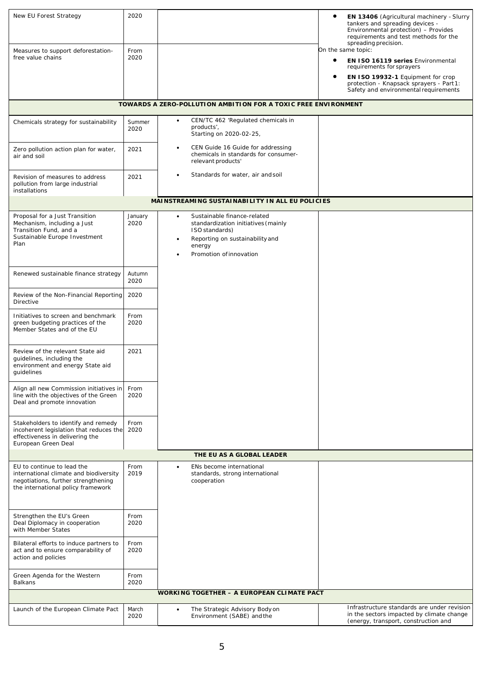| New EU Forest Strategy                                                                                                                            | 2020            |                                                                                                              | $\bullet$<br>EN 13406 (Agricultural machinery - Slurry<br>tankers and spreading devices -                                        |  |  |  |
|---------------------------------------------------------------------------------------------------------------------------------------------------|-----------------|--------------------------------------------------------------------------------------------------------------|----------------------------------------------------------------------------------------------------------------------------------|--|--|--|
|                                                                                                                                                   |                 |                                                                                                              | Environmental protection) - Provides<br>requirements and test methods for the<br>spreading precision.                            |  |  |  |
| Measures to support deforestation-<br>free value chains                                                                                           | From<br>2020    |                                                                                                              | On the same topic:                                                                                                               |  |  |  |
|                                                                                                                                                   |                 |                                                                                                              | $\bullet$<br>EN ISO 16119 series Environmental<br>requirements for sprayers                                                      |  |  |  |
|                                                                                                                                                   |                 |                                                                                                              | ٠<br>EN ISO 19932-1 Equipment for crop<br>protection - Knapsack sprayers - Part 1:<br>Safety and environmental requirements      |  |  |  |
|                                                                                                                                                   |                 | TOWARDS A ZERO-POLLUTION AMBITION FOR A TOXIC FREE ENVIRONMENT                                               |                                                                                                                                  |  |  |  |
| Chemicals strategy for sustainability                                                                                                             | Summer          | CEN/TC 462 'Regulated chemicals in<br>$\bullet$                                                              |                                                                                                                                  |  |  |  |
|                                                                                                                                                   | 2020            | products',<br>Starting on 2020-02-25,                                                                        |                                                                                                                                  |  |  |  |
| Zero pollution action plan for water,<br>air and soil                                                                                             | 2021            | CEN Guide 16 Guide for addressing<br>$\bullet$<br>chemicals in standards for consumer-<br>relevant products' |                                                                                                                                  |  |  |  |
| Revision of measures to address<br>pollution from large industrial<br>installations                                                               | 2021            | Standards for water, air and soil                                                                            |                                                                                                                                  |  |  |  |
|                                                                                                                                                   |                 | MAINSTREAMING SUSTAINABILITY IN ALL EU POLICIES                                                              |                                                                                                                                  |  |  |  |
| Proposal for a Just Transition<br>Mechanism, including a Just                                                                                     | January<br>2020 | Sustainable finance-related<br>$\bullet$<br>standardization initiatives (mainly                              |                                                                                                                                  |  |  |  |
| Transition Fund, and a<br>Sustainable Europe Investment                                                                                           |                 | ISO standards)<br>Reporting on sustainability and<br>$\bullet$                                               |                                                                                                                                  |  |  |  |
| Plan                                                                                                                                              |                 | energy<br>Promotion of innovation                                                                            |                                                                                                                                  |  |  |  |
|                                                                                                                                                   |                 |                                                                                                              |                                                                                                                                  |  |  |  |
| Renewed sustainable finance strategy                                                                                                              | Autumn<br>2020  |                                                                                                              |                                                                                                                                  |  |  |  |
| Review of the Non-Financial Reporting<br>Directive                                                                                                | 2020            |                                                                                                              |                                                                                                                                  |  |  |  |
| Initiatives to screen and benchmark<br>green budgeting practices of the<br>Member States and of the EU                                            | From<br>2020    |                                                                                                              |                                                                                                                                  |  |  |  |
| Review of the relevant State aid<br>guidelines, including the<br>environment and energy State aid<br>guidelines                                   | 2021            |                                                                                                              |                                                                                                                                  |  |  |  |
| Align all new Commission initiatives in<br>line with the objectives of the Green<br>Deal and promote innovation                                   | From<br>2020    |                                                                                                              |                                                                                                                                  |  |  |  |
| Stakeholders to identify and remedy<br>incoherent legislation that reduces the<br>effectiveness in delivering the<br>European Green Deal          | From<br>2020    |                                                                                                              |                                                                                                                                  |  |  |  |
| THE EU AS A GLOBAL LEADER                                                                                                                         |                 |                                                                                                              |                                                                                                                                  |  |  |  |
| EU to continue to lead the<br>international climate and biodiversity<br>negotiations, further strengthening<br>the international policy framework | From<br>2019    | ENs become international<br>$\bullet$<br>standards, strong international<br>cooperation                      |                                                                                                                                  |  |  |  |
| Strengthen the EU's Green<br>Deal Diplomacy in cooperation<br>with Member States                                                                  | From<br>2020    |                                                                                                              |                                                                                                                                  |  |  |  |
| Bilateral efforts to induce partners to<br>act and to ensure comparability of<br>action and policies                                              | From<br>2020    |                                                                                                              |                                                                                                                                  |  |  |  |
| Green Agenda for the Western<br><b>Balkans</b>                                                                                                    | From<br>2020    |                                                                                                              |                                                                                                                                  |  |  |  |
| <b>WORKING TOGETHER - A EUROPEAN CLIMATE PACT</b>                                                                                                 |                 |                                                                                                              |                                                                                                                                  |  |  |  |
| Launch of the European Climate Pact                                                                                                               | March<br>2020   | The Strategic Advisory Bodyon<br>$\bullet$<br>Environment (SABE) and the                                     | Infrastructure standards are under revision<br>in the sectors impacted by climate change<br>(energy, transport, construction and |  |  |  |